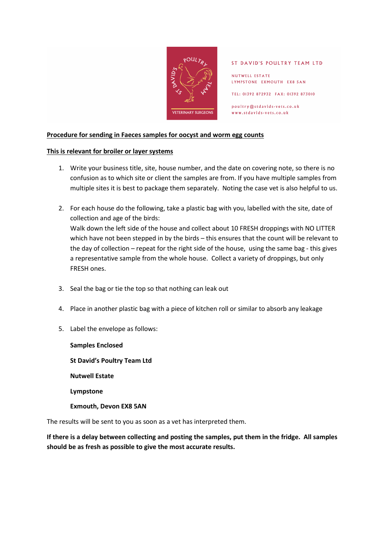

### ST DAVID'S POULTRY TEAM LTD

NUTWELL ESTATE LYMPSTONE EXMOUTH EX8 5AN

TEL: 01392 872932 FAX: 01392 873010

poultry@stdavids-vets.co.uk www.stdavids-vets.co.uk

## **Procedure for sending in Faeces samples for oocyst and worm egg counts**

### **This is relevant for broiler or layer systems**

- 1. Write your business title, site, house number, and the date on covering note, so there is no confusion as to which site or client the samples are from. If you have multiple samples from multiple sites it is best to package them separately. Noting the case vet is also helpful to us.
- 2. For each house do the following, take a plastic bag with you, labelled with the site, date of collection and age of the birds: Walk down the left side of the house and collect about 10 FRESH droppings with NO LITTER which have not been stepped in by the birds – this ensures that the count will be relevant to the day of collection – repeat for the right side of the house, using the same bag - this gives a representative sample from the whole house. Collect a variety of droppings, but only FRESH ones.
- 3. Seal the bag or tie the top so that nothing can leak out
- 4. Place in another plastic bag with a piece of kitchen roll or similar to absorb any leakage
- 5. Label the envelope as follows:

**Samples Enclosed St David's Poultry Team Ltd Nutwell Estate Lympstone Exmouth, Devon EX8 5AN** 

The results will be sent to you as soon as a vet has interpreted them.

**If there is a delay between collecting and posting the samples, put them in the fridge. All samples should be as fresh as possible to give the most accurate results.**